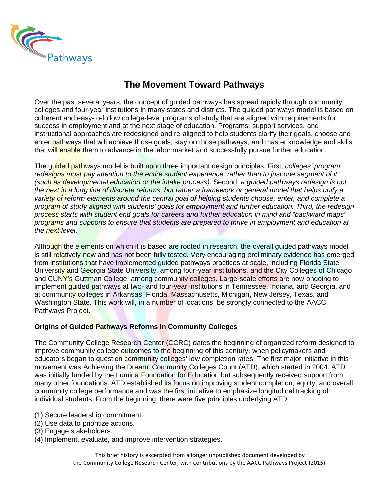

## **The Movement Toward Pathways**

Over the past several years, the concept of guided pathways has spread rapidly through community colleges and four-year institutions in many states and districts. The guided pathways model is based on coherent and easy-to-follow college-level programs of study that are aligned with requirements for success in employment and at the next stage of education. Programs, support services, and instructional approaches are redesigned and re-aligned to help students clarify their goals, choose and enter pathways that will achieve those goals, stay on those pathways, and master knowledge and skills that will enable them to advance in the labor market and successfully pursue further education.

The guided pathways model is built upon three important design principles. First, *colleges' program redesigns must pay attention to the entire student experience, rather than to just one segment of it (such as developmental education or the intake process)*. Second, *a guided pathways redesign is not the next in a long line of discrete reforms, but rather a framework or general model that helps unify a variety of reform elements around the central goal of helping students choose, enter, and complete a program of study aligned with students' goals for employment and further education. Third, the redesign process starts with student end goals for careers and further education in mind and "backward maps" programs and supports to ensure that students are prepared to thrive in employment and education at the next level*.

Although the elements on which it is based are rooted in research, the overall guided pathways model is still relatively new and has not been fully tested. Very encouraging preliminary evidence has emerged from institutions that have implemented quided pathways practices at scale, including Florida State University and Georgia State University, among four-year institutions, and the City Colleges of Chicago and CUNY's Guttman College, among community colleges. Large-scale efforts are now ongoing to implement *guided pathways at two- and four-year institutions in Tennessee*, Indiana, and Georgia, and at community colleges in Arkansas, Florida, Massachusetts, Michigan, New Jersey, Texas, and Washington State. This work will, in a number of locations, be strongly connected to the AACC Pathways Project.

## **Origins of Guided Pathways Reforms in Community Colleges**

The Community College Research Center (CCRC) dates the beginning of organized reform designed to improve community college outcomes to the beginning of this century, when policymakers and educators began to question community colleges' low completion rates. The first major initiative in this movement was Achieving the Dream: Community Colleges Count (ATD), which started in 2004. ATD was initially funded by the Lumina Foundation for Education but subsequently received support from many other foundations. ATD established its focus on improving student completion, equity, and overall community college performance and was the first initiative to emphasize longitudinal tracking of individual students. From the beginning, there were five principles underlying ATD:

- (1) Secure leadership commitment.
- (2) Use data to prioritize actions.
- (3) Engage stakeholders.
- (4) Implement, evaluate, and improve intervention strategies.

This brief history is excerpted from a longer unpublished document developed by the Community College Research Center, with contributions by the AACC Pathways Project (2015).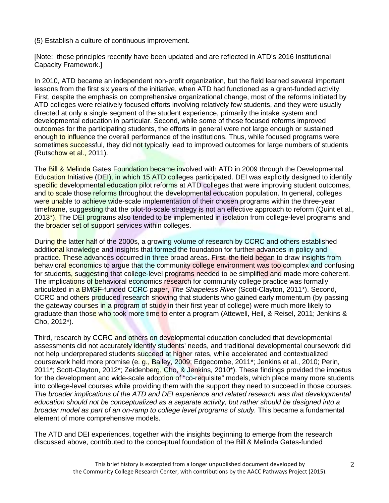(5) Establish a culture of continuous improvement.

[Note: these principles recently have been updated and are reflected in ATD's 2016 Institutional Capacity Framework.]

In 2010, ATD became an independent non-profit organization, but the field learned several important lessons from the first six years of the initiative, when ATD had functioned as a grant-funded activity. First, despite the emphasis on comprehensive organizational change, most of the reforms initiated by ATD colleges were relatively focused efforts involving relatively few students, and they were usually directed at only a single segment of the student experience, primarily the intake system and developmental education in particular. Second, while some of these focused reforms improved outcomes for the participating students, the efforts in general were not large enough or sustained enough to influence the overall performance of the institutions. Thus, while focused programs were sometimes successful, they did not typically lead to improved outcomes for large numbers of students (Rutschow et al., 2011).

The **Bill & Melinda** Gates Foundation became involved with ATD in 2009 through the Developmental Education Initiative (DEI), in which 15 ATD colleges participated. DEI was explicitly designed to identify specific developmental education pilot reforms at ATD colleges that were improving student outcomes, and to scale those reforms throughout the developmental education population. In general, colleges were unable to achieve wide-scale implementation of their chosen programs within the three-year timeframe, suggesting that the pilot-to-scale strategy is not an effective approach to reform (Quint et al., 2013<sup>\*</sup>). The DEI programs also tended to be implemented in isolation from college-level programs and the **broader set of support services within colleges.** 

During the latter half of the 2000s, a growing volume of research by CCRC and others established additional knowledge and insights that formed the foundation for further advances in policy and practice. These advances occurred in three broad areas. First, the field began to draw insights from behavioral economics to argue that the community college environment was too complex and confusing for students, suggesting that college-level programs needed to be simplified and made more coherent. The implications of behavioral economics research for community college practice was formally articulated in a BMGF-funded CCRC paper, *The Shapeless River* (Scott-Clayton, 2011\*). Second, CCRC and others produced research showing that students who gained early momentum (by passing the gateway courses in a program of study in their first year of college) were much more likely to graduate than those who took more time to enter a program (Attewell, Heil, & Reisel, 2011; Jenkins & Cho, 2012\*).

Third, research by CCRC and others on developmental education concluded that developmental assessments did not accurately identify students' needs, and traditional developmental coursework did not help underprepared students succeed at higher rates, while accelerated and contextualized coursework held more promise (e. g., Bailey, 2009; Edgecombe, 2011\*; Jenkins et al., 2010; Perin, 2011\*; Scott-Clayton, 2012\*; Zeidenberg, Cho, & Jenkins, 2010\*). These findings provided the impetus for the development and wide-scale adoption of "co-requisite" models, which place many more students into college-level courses while providing them with the support they need to succeed in those courses. *The broader implications of the ATD and DEI experience and related research was that developmental education should not be conceptualized as a separate activity, but rather should be designed into a broader model as part of an on-ramp to college level programs of study.* This became a fundamental element of more comprehensive models.

The ATD and DEI experiences, together with the insights beginning to emerge from the research discussed above, contributed to the conceptual foundation of the Bill & Melinda Gates-funded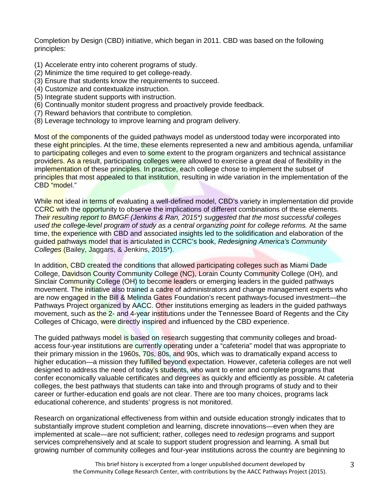Completion by Design (CBD) initiative, which began in 2011. CBD was based on the following principles:

- (1) Accelerate entry into coherent programs of study.
- (2) Minimize the time required to get college-ready.
- (3) Ensure that students know the requirements to succeed.
- (4) Customize and contextualize instruction.
- (5) Integrate student supports with instruction.
- (6) Continually monitor student progress and proactively provide feedback.
- (7) Reward behaviors that contribute to completion.
- (8) Leverage technology to improve learning and program delivery.

Most of the components of the quided pathways model as understood today were incorporated into these eight principles. At the time, these elements represented a new and ambitious agenda, unfamiliar to participating colleges and even to some extent to the program organizers and technical assistance providers. As a result, participating colleges were allowed to exercise a great deal of flexibility in the implementation of these principles. In practice, each college chose to implement the subset of principles that most appealed to that institution, resulting in wide variation in the implementation of the CBD "model."

While not ideal in terms of evaluating a well-defined model, CBD's variety in implementation did provide CCRC with the opportunity to observe the implications of different combinations of these elements. *Their resulting report to BMGF (Jenkins & Ran, 2015\*) suggested that the most successful colleges used the college-level program of study as a central organizing point for college reforms.* At the same time, the experience with CBD and associated insights led to the solidification and elaboration of the guided pathways model that is articulated in CCRC's book, *Redesigning America's Community Colleges* (Bailey, Jaggars, & Jenkins, 2015\*).

In addition, CBD created the conditions that allowed participating colleges such as Miami Dade College, Davidson County Community College (NC), Lorain County Community College (OH), and Sinclair Community College (OH) to become leaders or emerging leaders in the guided pathways movement. The initiative also trained a cadre of administrators and change management experts who are now engaged in the Bill & Melinda Gates Foundation's recent pathways-focused investment—the Pathways Project organized by AACC. Other institutions emerging as leaders in the guided pathways movement, such as the 2- and 4-year institutions under the Tennessee Board of Regents and the City Colleges of Chicago, were directly inspired and influenced by the CBD experience.

The guided pathways model is based on research suggesting that community colleges and broadaccess four-year institutions are currently operating under a "cafeteria" model that was appropriate to their primary mission in the 1960s, 70s, 80s, and 90s, which was to dramatically expand access to higher education—a mission they fulfilled beyond expectation. However, cafeteria colleges are not well designed to address the need of today's students, who want to enter and complete programs that confer economically valuable certificates and degrees as quickly and efficiently as possible. At cafeteria colleges, the best pathways that students can take into and through programs of study and to their career or further-education end goals are not clear. There are too many choices, programs lack educational coherence, and students' progress is not monitored.

Research on organizational effectiveness from within and outside education strongly indicates that to substantially improve student completion and learning, discrete innovations—even when they are implemented at scale—are not sufficient; rather, colleges need to *redesign* programs and support services comprehensively and at scale to support student progression and learning. A small but growing number of community colleges and four-year institutions across the country are beginning to

> This brief history is excerpted from a longer unpublished document developed by the Community College Research Center, with contributions by the AACC Pathways Project (2015).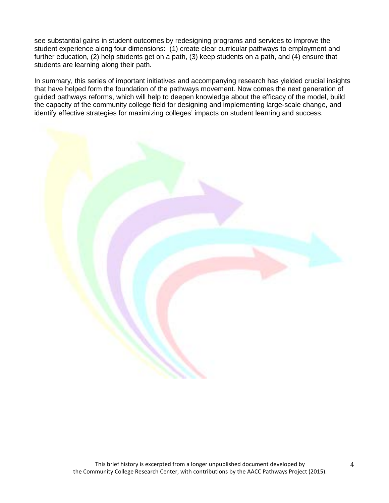see substantial gains in student outcomes by redesigning programs and services to improve the student experience along four dimensions: (1) create clear curricular pathways to employment and further education, (2) help students get on a path, (3) keep students on a path, and (4) ensure that students are learning along their path.

In summary, this series of important initiatives and accompanying research has yielded crucial insights that have helped form the foundation of the pathways movement. Now comes the next generation of guided pathways reforms, which will help to deepen knowledge about the efficacy of the model, build the capacity of the community college field for designing and implementing large-scale change, and identify effective strategies for maximizing colleges' impacts on student learning and success.